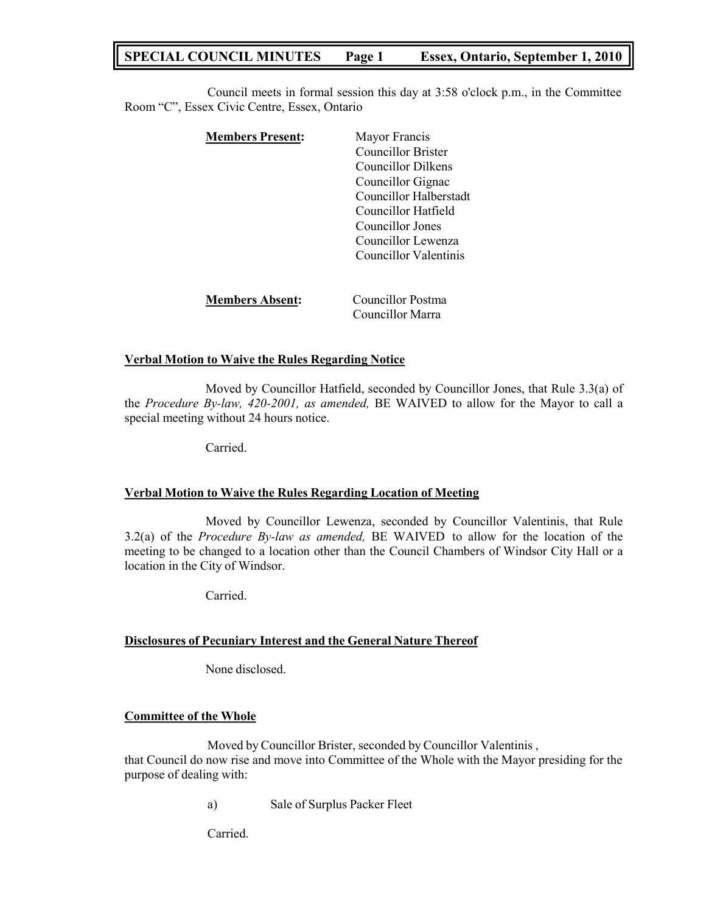# **SPECIAL COUNCIL MINUTES Page 1 Essex, Ontario, September 1, 2010**

Council meets in formal session this day at 3:58 o'clock p.m., in the Committee Room "C", Essex Civic Centre, Essex, Ontario

| <b>Members Present:</b> | Mayor Francis                         |
|-------------------------|---------------------------------------|
|                         | <b>Councillor Brister</b>             |
|                         | Councillor Dilkens                    |
|                         | Councillor Gignac                     |
|                         | Councillor Halberstadt                |
|                         | Councillor Hatfield                   |
|                         | Councillor Jones                      |
|                         | Councillor Lewenza                    |
|                         | Councillor Valentinis                 |
|                         |                                       |
| <b>Members Absent:</b>  | Councillor Postma<br>Councillor Marra |

### **Verbal Motion to Waive the Rules Regarding Notice**

Moved by Councillor Hatfield, seconded by Councillor Jones, that Rule 3.3(a) of the *Procedure By-law, 420-2001, as amended,* BE WAIVED to allow for the Mayor to call a special meeting without 24 hours notice.

Carried.

### **Verbal Motion to Waive the Rules Regarding Location of Meeting**

Moved by Councillor Lewenza, seconded by Councillor Valentinis, that Rule 3.2(a) of the *Procedure By-law as amended,* BE WAIVED to allow for the location of the meeting to be changed to a location other than the Council Chambers of Windsor City Hall or a location in the City of Windsor.

Carried.

### **Disclosures of Pecuniary Interest and the General Nature Thereof**

None disclosed.

## **Committee of the Whole**

Moved by Councillor Brister, seconded by Councillor Valentinis , that Council do now rise and move into Committee of the Whole with the Mayor presiding for the purpose of dealing with:

a) Sale of Surplus Packer Fleet

Carried.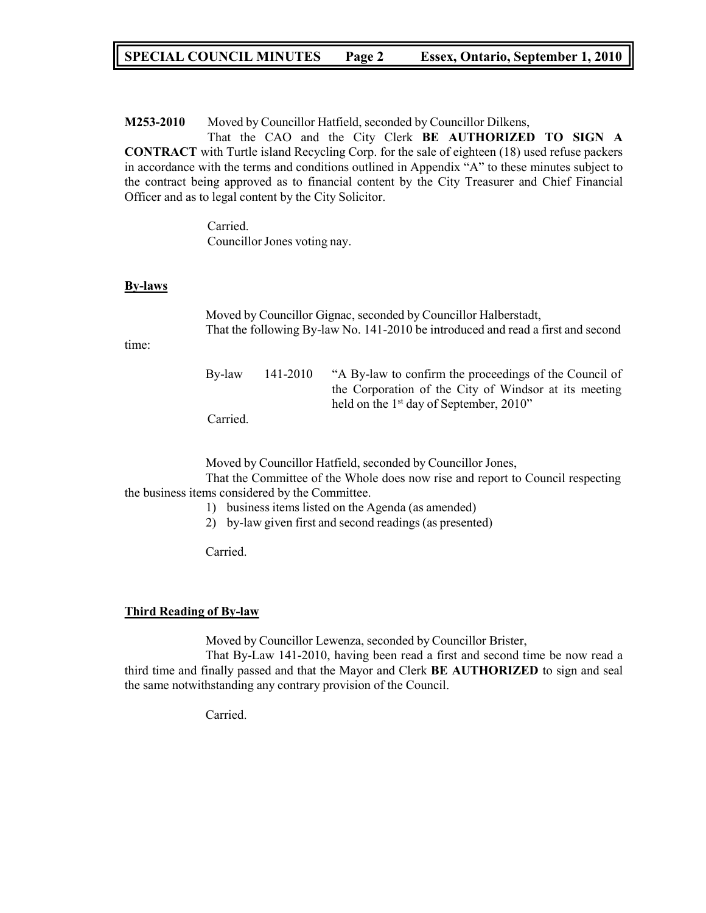# **SPECIAL COUNCIL MINUTES Page 2 Essex, Ontario, September 1, 2010**

**M253-2010** Moved by Councillor Hatfield, seconded by Councillor Dilkens,

That the CAO and the City Clerk **BE AUTHORIZED TO SIGN A CONTRACT** with Turtle island Recycling Corp. for the sale of eighteen (18) used refuse packers in accordance with the terms and conditions outlined in Appendix "A" to these minutes subject to the contract being approved as to financial content by the City Treasurer and Chief Financial Officer and as to legal content by the City Solicitor.

> Carried. Councillor Jones voting nay.

### **By-laws**

Moved by Councillor Gignac, seconded by Councillor Halberstadt, That the following By-law No. 141-2010 be introduced and read a first and second

time:

| By-law   | 141-2010 | "A By-law to confirm the proceedings of the Council of |  |
|----------|----------|--------------------------------------------------------|--|
|          |          | the Corporation of the City of Windsor at its meeting  |  |
|          |          | held on the $1st$ day of September, 2010"              |  |
| Carried. |          |                                                        |  |

Moved by Councillor Hatfield, seconded by Councillor Jones,

That the Committee of the Whole does now rise and report to Council respecting the business items considered by the Committee.

- 1) business items listed on the Agenda (as amended)
- 2) by-law given first and second readings (as presented)

Carried.

### **Third Reading of By-law**

Moved by Councillor Lewenza, seconded by Councillor Brister,

That By-Law 141-2010, having been read a first and second time be now read a third time and finally passed and that the Mayor and Clerk **BE AUTHORIZED** to sign and seal the same notwithstanding any contrary provision of the Council.

Carried.